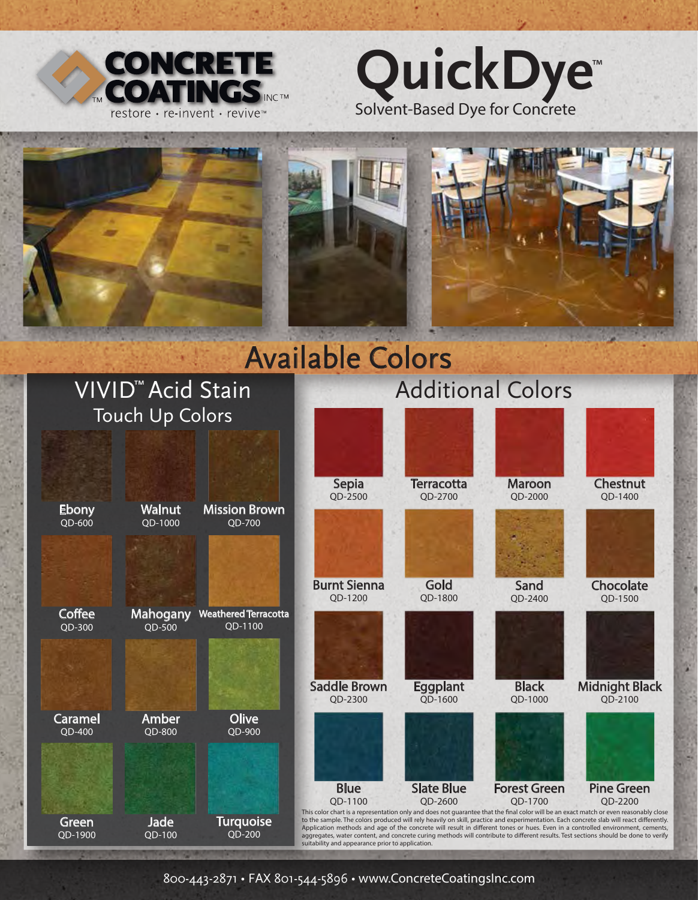







# Available Colors



800-443-2871 • FAX 801-544-5896 • www.ConcreteCoatingsInc.com